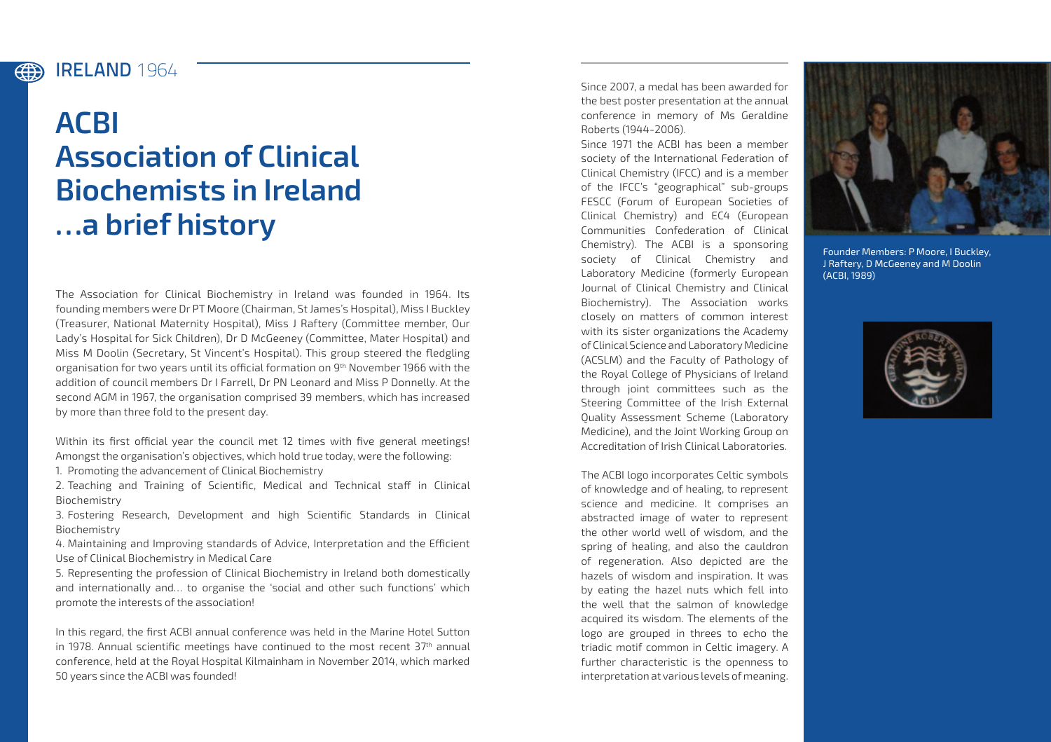## IRELAND **1964** (#)

## **ACBI Association of Clinical Biochemists in Ireland …a brief history**

The Association for Clinical Biochemistry in Ireland was founded in 1964. Its founding members were Dr PT Moore (Chairman, St James's Hospital), Miss I Buckley (Treasurer, National Maternity Hospital), Miss J Raftery (Committee member, Our Lady's Hospital for Sick Children), Dr D McGeeney (Committee, Mater Hospital) and Miss M Doolin (Secretary, St Vincent's Hospital). This group steered the fledgling organisation for two years until its official formation on 9<sup>th</sup> November 1966 with the addition of council members Dr I Farrell, Dr PN Leonard and Miss P Donnelly. At the second AGM in 1967, the organisation comprised 39 members, which has increased by more than three fold to the present day.

Within its first official year the council met 12 times with five general meetings! Amongst the organisation's objectives, which hold true today, were the following:

1. Promoting the advancement of Clinical Biochemistry

2. Teaching and Training of Scientific, Medical and Technical staff in Clinical Biochemistry

3. Fostering Research, Development and high Scientific Standards in Clinical Biochemistry

4. Maintaining and Improving standards of Advice, Interpretation and the Efficient Use of Clinical Biochemistry in Medical Care

5. Representing the profession of Clinical Biochemistry in Ireland both domestically and internationally and… to organise the 'social and other such functions' which promote the interests of the association!

In this regard, the first ACBI annual conference was held in the Marine Hotel Sutton in 1978. Annual scientific meetings have continued to the most recent  $37<sup>th</sup>$  annual conference, held at the Royal Hospital Kilmainham in November 2014, which marked 50 years since the ACBI was founded!

Since 2007, a medal has been awarded for the best poster presentation at the annual conference in memory of Ms Geraldine Roberts (1944-2006).

Since 1971 the ACBI has been a member society of the International Federation of Clinical Chemistry (IFCC) and is a member of the IFCC's "geographical" sub-groups FESCC (Forum of European Societies of Clinical Chemistry) and EC4 (European Communities Confederation of Clinical Chemistry). The ACBI is a sponsoring society of Clinical Chemistry and Laboratory Medicine (formerly European Journal of Clinical Chemistry and Clinical Biochemistry). The Association works closely on matters of common interest with its sister organizations the Academy of Clinical Science and Laboratory Medicine (ACSLM) and the Faculty of Pathology of the Royal College of Physicians of Ireland through joint committees such as the Steering Committee of the Irish External Quality Assessment Scheme (Laboratory Medicine), and the Joint Working Group on Accreditation of Irish Clinical Laboratories.

The ACBI logo incorporates Celtic symbols of knowledge and of healing, to represent science and medicine. It comprises an abstracted image of water to represent the other world well of wisdom, and the spring of healing, and also the cauldron of regeneration. Also depicted are the hazels of wisdom and inspiration. It was by eating the hazel nuts which fell into the well that the salmon of knowledge acquired its wisdom. The elements of the logo are grouped in threes to echo the triadic motif common in Celtic imagery. A further characteristic is the openness to interpretation at various levels of meaning.



Founder Members: P Moore, I Buckley, J Raftery, D McGeeney and M Doolin (ACBI, 1989)